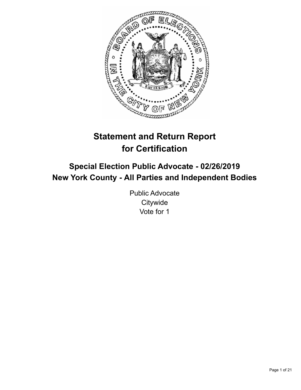

# **Statement and Return Report for Certification**

## **Special Election Public Advocate - 02/26/2019 New York County - All Parties and Independent Bodies**

Public Advocate **Citywide** Vote for 1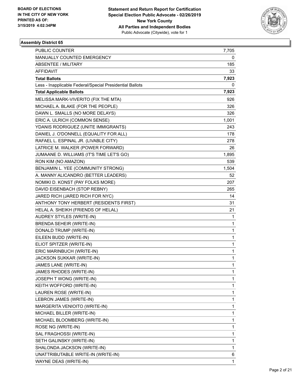

| <b>PUBLIC COUNTER</b>                                    | 7,705 |
|----------------------------------------------------------|-------|
| MANUALLY COUNTED EMERGENCY                               | 0     |
| <b>ABSENTEE / MILITARY</b>                               | 185   |
| <b>AFFIDAVIT</b>                                         | 33    |
| <b>Total Ballots</b>                                     | 7,923 |
| Less - Inapplicable Federal/Special Presidential Ballots | 0     |
| <b>Total Applicable Ballots</b>                          | 7,923 |
| MELISSA MARK-VIVERITO (FIX THE MTA)                      | 926   |
| MICHAEL A. BLAKE (FOR THE PEOPLE)                        | 326   |
| DAWN L. SMALLS (NO MORE DELAYS)                          | 326   |
| ERIC A. ULRICH (COMMON SENSE)                            | 1,001 |
| YDANIS RODRIGUEZ (UNITE IMMIGRANTS)                      | 243   |
| DANIEL J. O'DONNELL (EQUALITY FOR ALL)                   | 178   |
| RAFAEL L. ESPINAL JR. (LIVABLE CITY)                     | 278   |
| LATRICE M. WALKER (POWER FORWARD)                        | 26    |
| JUMAANE D. WILLIAMS (IT'S TIME LET'S GO)                 | 1,895 |
| RON KIM (NO AMAZON)                                      | 539   |
| BENJAMIN L. YEE (COMMUNITY STRONG)                       | 1,504 |
| A. MANNY ALICANDRO (BETTER LEADERS)                      | 52    |
| NOMIKI D. KONST (PAY FOLKS MORE)                         | 207   |
| DAVID EISENBACH (STOP REBNY)                             | 265   |
| JARED RICH (JARED RICH FOR NYC)                          | 14    |
| ANTHONY TONY HERBERT (RESIDENTS FIRST)                   | 31    |
| HELAL A. SHEIKH (FRIENDS OF HELAL)                       | 21    |
| AUDREY STYLES (WRITE-IN)                                 | 1     |
| BRENDA SEHEIR (WRITE-IN)                                 | 1     |
| DONALD TRUMP (WRITE-IN)                                  | 1     |
| EILEEN BUDD (WRITE-IN)                                   | 1     |
| ELIOT SPITZER (WRITE-IN)                                 | 1     |
| ERIC MARINBUCH (WRITE-IN)                                | 1     |
| JACKSON SUKKAR (WRITE-IN)                                | 1     |
| JAMES LANE (WRITE-IN)                                    | 1     |
| JAMES RHODES (WRITE-IN)                                  | 1     |
| JOSEPH T WONG (WRITE-IN)                                 | 1     |
| KEITH WOFFORD (WRITE-IN)                                 | 1     |
| LAUREN ROSE (WRITE-IN)                                   | 1     |
| LEBRON JAMES (WRITE-IN)                                  | 1     |
| MARGERITA VENIOITO (WRITE-IN)                            | 1     |
| MICHAEL BILLER (WRITE-IN)                                | 1     |
| MICHAEL BLOOMBERG (WRITE-IN)                             | 1     |
| ROSE NG (WRITE-IN)                                       | 1     |
| SAL FRAGHOSSI (WRITE-IN)                                 | 1     |
| SETH GALINSKY (WRITE-IN)                                 | 1     |
| SHALONDA JACKSON (WRITE-IN)                              | 1     |
| UNATTRIBUTABLE WRITE-IN (WRITE-IN)                       | 6     |
| WAYNE DEAS (WRITE-IN)                                    | 1     |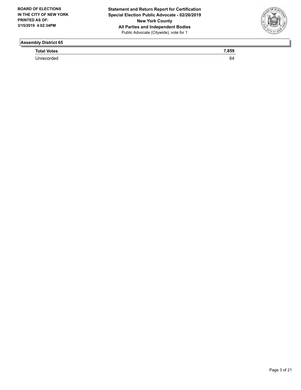

**Total Votes** 7,859

Unrecorded 64 and 200 million of the United States of the United States of the United States of the United States of the United States of the United States of the United States of the United States of the United States of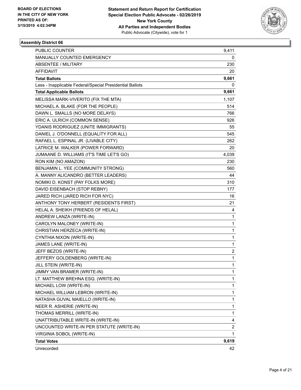

| PUBLIC COUNTER                                           | 9,411          |
|----------------------------------------------------------|----------------|
| MANUALLY COUNTED EMERGENCY                               | 0              |
| <b>ABSENTEE / MILITARY</b>                               | 230            |
| AFFIDAVIT                                                | 20             |
| <b>Total Ballots</b>                                     | 9,661          |
| Less - Inapplicable Federal/Special Presidential Ballots | 0              |
| <b>Total Applicable Ballots</b>                          | 9,661          |
| MELISSA MARK-VIVERITO (FIX THE MTA)                      | 1,107          |
| MICHAEL A. BLAKE (FOR THE PEOPLE)                        | 514            |
| DAWN L. SMALLS (NO MORE DELAYS)                          | 766            |
| ERIC A. ULRICH (COMMON SENSE)                            | 926            |
| YDANIS RODRIGUEZ (UNITE IMMIGRANTS)                      | 55             |
| DANIEL J. O'DONNELL (EQUALITY FOR ALL)                   | 545            |
| RAFAEL L. ESPINAL JR. (LIVABLE CITY)                     | 262            |
| LATRICE M. WALKER (POWER FORWARD)                        | 20             |
| JUMAANE D. WILLIAMS (IT'S TIME LET'S GO)                 | 4,039          |
| RON KIM (NO AMAZON)                                      | 230            |
| BENJAMIN L. YEE (COMMUNITY STRONG)                       | 560            |
| A. MANNY ALICANDRO (BETTER LEADERS)                      | 44             |
| NOMIKI D. KONST (PAY FOLKS MORE)                         | 310            |
| DAVID EISENBACH (STOP REBNY)                             | 177            |
| JARED RICH (JARED RICH FOR NYC)                          | 16             |
| ANTHONY TONY HERBERT (RESIDENTS FIRST)                   | 21             |
| HELAL A. SHEIKH (FRIENDS OF HELAL)                       | 4              |
| ANDREW LANZA (WRITE-IN)                                  | 1              |
| CAROLYN MALONEY (WRITE-IN)                               | 1              |
| CHRISTIAN HERZECA (WRITE-IN)                             | 1              |
| CYNTHIA NIXON (WRITE-IN)                                 | 1              |
| JAMES LANE (WRITE-IN)                                    | 1              |
| JEFF BEZOS (WRITE-IN)                                    | 2              |
| JEFFERY GOLDENBERG (WRITE-IN)                            | 1              |
| JILL STEIN (WRITE-IN)                                    | $\mathbf{1}$   |
| JIMMY VAN BRAMER (WRITE-IN)                              | 1              |
| LT. MATTHEW BREHNA ESQ. (WRITE-IN)                       | 1              |
| MICHAEL LOW (WRITE-IN)                                   | 1              |
| MICHAEL WILLIAM LEBRON (WRITE-IN)                        | 1              |
| NATASHA GUVAL MAIELLO (WRITE-IN)                         | 1              |
| NEER R. ASHERIE (WRITE-IN)                               | 1              |
| THOMAS MERRILL (WRITE-IN)                                | 1              |
| UNATTRIBUTABLE WRITE-IN (WRITE-IN)                       | 4              |
| UNCOUNTED WRITE-IN PER STATUTE (WRITE-IN)                | $\overline{c}$ |
| VIRGINIA SOBOL (WRITE-IN)                                | 1              |
| <b>Total Votes</b>                                       | 9,619          |
| Unrecorded                                               | 42             |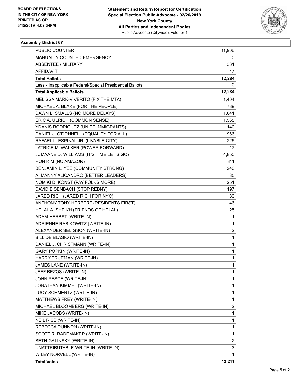

| PUBLIC COUNTER                                           | 11,906       |
|----------------------------------------------------------|--------------|
| MANUALLY COUNTED EMERGENCY                               | 0            |
| <b>ABSENTEE / MILITARY</b>                               | 331          |
| AFFIDAVIT                                                | 47           |
| <b>Total Ballots</b>                                     | 12,284       |
| Less - Inapplicable Federal/Special Presidential Ballots | 0            |
| <b>Total Applicable Ballots</b>                          | 12,284       |
| MELISSA MARK-VIVERITO (FIX THE MTA)                      | 1,404        |
| MICHAEL A. BLAKE (FOR THE PEOPLE)                        | 789          |
| DAWN L. SMALLS (NO MORE DELAYS)                          | 1,041        |
| ERIC A. ULRICH (COMMON SENSE)                            | 1,565        |
| YDANIS RODRIGUEZ (UNITE IMMIGRANTS)                      | 140          |
| DANIEL J. O'DONNELL (EQUALITY FOR ALL)                   | 966          |
| RAFAEL L. ESPINAL JR. (LIVABLE CITY)                     | 225          |
| LATRICE M. WALKER (POWER FORWARD)                        | 17           |
| JUMAANE D. WILLIAMS (IT'S TIME LET'S GO)                 | 4,850        |
| RON KIM (NO AMAZON)                                      | 311          |
| BENJAMIN L. YEE (COMMUNITY STRONG)                       | 240          |
| A. MANNY ALICANDRO (BETTER LEADERS)                      | 85           |
| NOMIKI D. KONST (PAY FOLKS MORE)                         | 251          |
| DAVID EISENBACH (STOP REBNY)                             | 197          |
| JARED RICH (JARED RICH FOR NYC)                          | 33           |
| ANTHONY TONY HERBERT (RESIDENTS FIRST)                   | 46           |
| HELAL A. SHEIKH (FRIENDS OF HELAL)                       | 25           |
| ADAM HERBST (WRITE-IN)                                   | 1            |
| ADRIENNE RABIKOWITZ (WRITE-IN)                           | 1            |
| ALEXANDER SELIGSON (WRITE-IN)                            | 2            |
| BILL DE BLASIO (WRITE-IN)                                | 1            |
| DANIEL J. CHRISTMANN (WRITE-IN)                          | 1            |
| <b>GARY POPKIN (WRITE-IN)</b>                            | 1            |
| HARRY TRUEMAN (WRITE-IN)                                 | $\mathbf{1}$ |
| JAMES LANE (WRITE-IN)                                    | $\mathbf{1}$ |
| JEFF BEZOS (WRITE-IN)                                    | 1            |
| JOHN PESCE (WRITE-IN)                                    | 1            |
| JONATHAN KIMMEL (WRITE-IN)                               | 1            |
| LUCY SCHMERTZ (WRITE-IN)                                 | 1            |
| MATTHEWS FREY (WRITE-IN)                                 | 1            |
| MICHAEL BLOOMBERG (WRITE-IN)                             | 2            |
| MIKE JACOBS (WRITE-IN)                                   | 1            |
| NEIL RISS (WRITE-IN)                                     | 1            |
| REBECCA DUNNON (WRITE-IN)                                | 1            |
| SCOTT R. RADEMAKER (WRITE-IN)                            | 1            |
| SETH GALINSKY (WRITE-IN)                                 | 2            |
| UNATTRIBUTABLE WRITE-IN (WRITE-IN)                       | 3            |
| WILEY NORVELL (WRITE-IN)                                 | 1            |
| <b>Total Votes</b>                                       | 12,211       |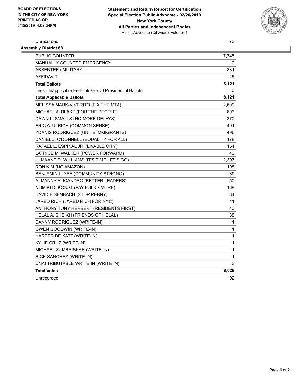

### Unrecorded 73 **Assembly District 68**

| טט וטווע שוטוו                                           |              |
|----------------------------------------------------------|--------------|
| PUBLIC COUNTER                                           | 7,745        |
| MANUALLY COUNTED EMERGENCY                               | 0            |
| <b>ABSENTEE / MILITARY</b>                               | 331          |
| <b>AFFIDAVIT</b>                                         | 45           |
| <b>Total Ballots</b>                                     | 8,121        |
| Less - Inapplicable Federal/Special Presidential Ballots | 0            |
| <b>Total Applicable Ballots</b>                          | 8,121        |
| MELISSA MARK-VIVERITO (FIX THE MTA)                      | 2,609        |
| MICHAEL A. BLAKE (FOR THE PEOPLE)                        | 803          |
| DAWN L. SMALLS (NO MORE DELAYS)                          | 370          |
| ERIC A. ULRICH (COMMON SENSE)                            | 401          |
| YDANIS RODRIGUEZ (UNITE IMMIGRANTS)                      | 496          |
| DANIEL J. O'DONNELL (EQUALITY FOR ALL)                   | 178          |
| RAFAEL L. ESPINAL JR. (LIVABLE CITY)                     | 154          |
| LATRICE M. WALKER (POWER FORWARD)                        | 43           |
| JUMAANE D. WILLIAMS (IT'S TIME LET'S GO)                 | 2,397        |
| RON KIM (NO AMAZON)                                      | 108          |
| BENJAMIN L. YEE (COMMUNITY STRONG)                       | 89           |
| A. MANNY ALICANDRO (BETTER LEADERS)                      | 50           |
| NOMIKI D. KONST (PAY FOLKS MORE)                         | 169          |
| DAVID EISENBACH (STOP REBNY)                             | 34           |
| JARED RICH (JARED RICH FOR NYC)                          | 11           |
| ANTHONY TONY HERBERT (RESIDENTS FIRST)                   | 40           |
| HELAL A. SHEIKH (FRIENDS OF HELAL)                       | 68           |
| DANNY RODRIGUEZ (WRITE-IN)                               | $\mathbf{1}$ |
| <b>GWEN GOODWIN (WRITE-IN)</b>                           | $\mathbf 1$  |
| HARPER DE KATT (WRITE-IN)                                | $\mathbf 1$  |
| KYLIE CRUZ (WRITE-IN)                                    | 1            |
| MICHAEL ZUMBRISKAR (WRITE-IN)                            | 1            |
| RICK SANCHEZ (WRITE-IN)                                  | 1            |
| UNATTRIBUTABLE WRITE-IN (WRITE-IN)                       | 3            |
| <b>Total Votes</b>                                       | 8,029        |
| Unrecorded                                               | 92           |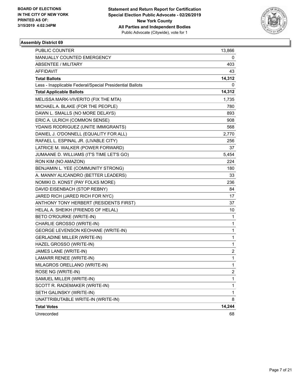

| PUBLIC COUNTER                                           | 13,866                  |
|----------------------------------------------------------|-------------------------|
| MANUALLY COUNTED EMERGENCY                               | 0                       |
| <b>ABSENTEE / MILITARY</b>                               | 403                     |
| AFFIDAVIT                                                | 43                      |
| <b>Total Ballots</b>                                     | 14,312                  |
| Less - Inapplicable Federal/Special Presidential Ballots | 0                       |
| <b>Total Applicable Ballots</b>                          | 14,312                  |
| MELISSA MARK-VIVERITO (FIX THE MTA)                      | 1,735                   |
| MICHAEL A. BLAKE (FOR THE PEOPLE)                        | 780                     |
| DAWN L. SMALLS (NO MORE DELAYS)                          | 893                     |
| ERIC A. ULRICH (COMMON SENSE)                            | 908                     |
| YDANIS RODRIGUEZ (UNITE IMMIGRANTS)                      | 568                     |
| DANIEL J. O'DONNELL (EQUALITY FOR ALL)                   | 2,770                   |
| RAFAEL L. ESPINAL JR. (LIVABLE CITY)                     | 256                     |
| LATRICE M. WALKER (POWER FORWARD)                        | 37                      |
| JUMAANE D. WILLIAMS (IT'S TIME LET'S GO)                 | 5,454                   |
| RON KIM (NO AMAZON)                                      | 224                     |
| BENJAMIN L. YEE (COMMUNITY STRONG)                       | 180                     |
| A. MANNY ALICANDRO (BETTER LEADERS)                      | 33                      |
| NOMIKI D. KONST (PAY FOLKS MORE)                         | 236                     |
| DAVID EISENBACH (STOP REBNY)                             | 84                      |
| JARED RICH (JARED RICH FOR NYC)                          | 17                      |
| ANTHONY TONY HERBERT (RESIDENTS FIRST)                   | 37                      |
| HELAL A. SHEIKH (FRIENDS OF HELAL)                       | 10                      |
| BETO O'ROURKE (WRITE-IN)                                 | 1                       |
| CHARLIE GROSSO (WRITE-IN)                                | $\mathbf{1}$            |
| GEORGE LEVENSON KEOHANE (WRITE-IN)                       | $\mathbf{1}$            |
| <b>GERLADINE MILLER (WRITE-IN)</b>                       | $\mathbf{1}$            |
| HAZEL GROSSO (WRITE-IN)                                  | $\mathbf{1}$            |
| JAMES LANE (WRITE-IN)                                    | 2                       |
| LAMARR RENEE (WRITE-IN)                                  | $\mathbf{1}$            |
| MILAGROS ORELLANO (WRITE-IN)                             | 1                       |
| ROSE NG (WRITE-IN)                                       | $\overline{\mathbf{c}}$ |
| SAMUEL MILLER (WRITE-IN)                                 | 1                       |
| SCOTT R. RADEMAKER (WRITE-IN)                            | $\mathbf{1}$            |
| SETH GALINSKY (WRITE-IN)                                 | $\mathbf{1}$            |
| UNATTRIBUTABLE WRITE-IN (WRITE-IN)                       | 8                       |
| <b>Total Votes</b>                                       | 14,244                  |
| Unrecorded                                               | 68                      |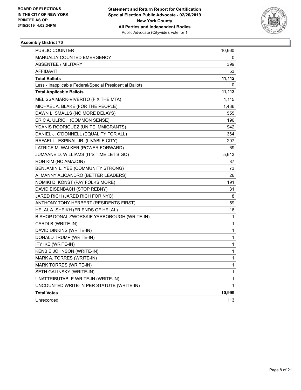

| PUBLIC COUNTER                                           | 10,660 |
|----------------------------------------------------------|--------|
| <b>MANUALLY COUNTED EMERGENCY</b>                        | 0      |
| <b>ABSENTEE / MILITARY</b>                               | 399    |
| AFFIDAVIT                                                | 53     |
| <b>Total Ballots</b>                                     | 11,112 |
| Less - Inapplicable Federal/Special Presidential Ballots | 0      |
| <b>Total Applicable Ballots</b>                          | 11,112 |
| MELISSA MARK-VIVERITO (FIX THE MTA)                      | 1,115  |
| MICHAEL A. BLAKE (FOR THE PEOPLE)                        | 1,436  |
| DAWN L. SMALLS (NO MORE DELAYS)                          | 555    |
| ERIC A. ULRICH (COMMON SENSE)                            | 196    |
| YDANIS RODRIGUEZ (UNITE IMMIGRANTS)                      | 942    |
| DANIEL J. O'DONNELL (EQUALITY FOR ALL)                   | 364    |
| RAFAEL L. ESPINAL JR. (LIVABLE CITY)                     | 207    |
| LATRICE M. WALKER (POWER FORWARD)                        | 69     |
| JUMAANE D. WILLIAMS (IT'S TIME LET'S GO)                 | 5,613  |
| RON KIM (NO AMAZON)                                      | 87     |
| BENJAMIN L. YEE (COMMUNITY STRONG)                       | 73     |
| A. MANNY ALICANDRO (BETTER LEADERS)                      | 26     |
| NOMIKI D. KONST (PAY FOLKS MORE)                         | 191    |
| DAVID EISENBACH (STOP REBNY)                             | 31     |
| JARED RICH (JARED RICH FOR NYC)                          | 8      |
| ANTHONY TONY HERBERT (RESIDENTS FIRST)                   | 59     |
| HELAL A. SHEIKH (FRIENDS OF HELAL)                       | 16     |
| BISHOP DONAL ZWORSKIE YARBOROUGH (WRITE-IN)              | 1      |
| CARDI B (WRITE-IN)                                       | 1      |
| DAVID DINKINS (WRITE-IN)                                 | 1      |
| DONALD TRUMP (WRITE-IN)                                  | 1      |
| IFY IKE (WRITE-IN)                                       | 1      |
| KENBIE JOHNSON (WRITE-IN)                                | 1      |
| MARK A. TORRES (WRITE-IN)                                | 1      |
| MARK TORRES (WRITE-IN)                                   | 1      |
| SETH GALINSKY (WRITE-IN)                                 | 1      |
| UNATTRIBUTABLE WRITE-IN (WRITE-IN)                       | 1      |
| UNCOUNTED WRITE-IN PER STATUTE (WRITE-IN)                | 1      |
| <b>Total Votes</b>                                       | 10,999 |
| Unrecorded                                               | 113    |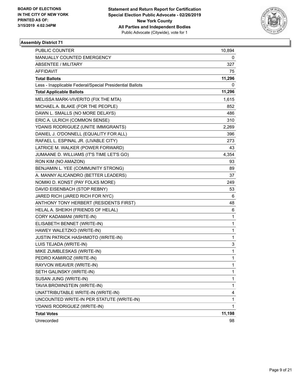

| PUBLIC COUNTER                                           | 10,894       |
|----------------------------------------------------------|--------------|
| <b>MANUALLY COUNTED EMERGENCY</b>                        | 0            |
| <b>ABSENTEE / MILITARY</b>                               | 327          |
| AFFIDAVIT                                                | 75           |
| <b>Total Ballots</b>                                     | 11,296       |
| Less - Inapplicable Federal/Special Presidential Ballots | 0            |
| <b>Total Applicable Ballots</b>                          | 11,296       |
| MELISSA MARK-VIVERITO (FIX THE MTA)                      | 1,615        |
| MICHAEL A. BLAKE (FOR THE PEOPLE)                        | 852          |
| DAWN L. SMALLS (NO MORE DELAYS)                          | 486          |
| ERIC A. ULRICH (COMMON SENSE)                            | 310          |
| YDANIS RODRIGUEZ (UNITE IMMIGRANTS)                      | 2,269        |
| DANIEL J. O'DONNELL (EQUALITY FOR ALL)                   | 396          |
| RAFAEL L. ESPINAL JR. (LIVABLE CITY)                     | 273          |
| LATRICE M. WALKER (POWER FORWARD)                        | 43           |
| JUMAANE D. WILLIAMS (IT'S TIME LET'S GO)                 | 4,354        |
| RON KIM (NO AMAZON)                                      | 93           |
| BENJAMIN L. YEE (COMMUNITY STRONG)                       | 89           |
| A. MANNY ALICANDRO (BETTER LEADERS)                      | 37           |
| NOMIKI D. KONST (PAY FOLKS MORE)                         | 249          |
| DAVID EISENBACH (STOP REBNY)                             | 53           |
| JARED RICH (JARED RICH FOR NYC)                          | 6            |
| ANTHONY TONY HERBERT (RESIDENTS FIRST)                   | 48           |
| HELAL A. SHEIKH (FRIENDS OF HELAL)                       | 6            |
| CORY KADAMANI (WRITE-IN)                                 | 1            |
| ELISABETH BENNET (WRITE-IN)                              | 1            |
| HAWEY WALETZKO (WRITE-IN)                                | 1            |
| JUSTIN PATRICK HASHIMOTO (WRITE-IN)                      | 1            |
| LUIS TEJADA (WRITE-IN)                                   | 3            |
| MIKE ZUMBLESKAS (WRITE-IN)                               | 1            |
| PEDRO KAMIROZ (WRITE-IN)                                 | 1            |
| RAYVON WEAVER (WRITE-IN)                                 | $\mathbf{1}$ |
| SETH GALINSKY (WRITE-IN)                                 | 1            |
| SUSAN JUNG (WRITE-IN)                                    | 1            |
| TAVIA BROWNSTEIN (WRITE-IN)                              | 1            |
| UNATTRIBUTABLE WRITE-IN (WRITE-IN)                       | 4            |
| UNCOUNTED WRITE-IN PER STATUTE (WRITE-IN)                | 1            |
| YDANIS RODRIGUEZ (WRITE-IN)                              | $\mathbf{1}$ |
| <b>Total Votes</b>                                       | 11,198       |
| Unrecorded                                               | 98           |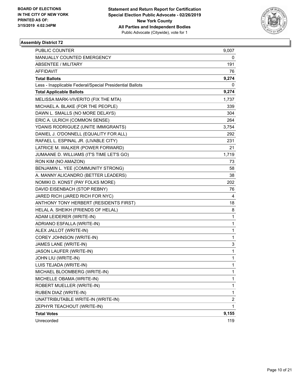

| PUBLIC COUNTER                                           | 9,007                   |
|----------------------------------------------------------|-------------------------|
| MANUALLY COUNTED EMERGENCY                               | 0                       |
| ABSENTEE / MILITARY                                      | 191                     |
| AFFIDAVIT                                                | 76                      |
| <b>Total Ballots</b>                                     | 9,274                   |
| Less - Inapplicable Federal/Special Presidential Ballots | 0                       |
| <b>Total Applicable Ballots</b>                          | 9,274                   |
| MELISSA MARK-VIVERITO (FIX THE MTA)                      | 1,737                   |
| MICHAEL A. BLAKE (FOR THE PEOPLE)                        | 339                     |
| DAWN L. SMALLS (NO MORE DELAYS)                          | 304                     |
| ERIC A. ULRICH (COMMON SENSE)                            | 264                     |
| YDANIS RODRIGUEZ (UNITE IMMIGRANTS)                      | 3,754                   |
| DANIEL J. O'DONNELL (EQUALITY FOR ALL)                   | 292                     |
| RAFAEL L. ESPINAL JR. (LIVABLE CITY)                     | 231                     |
| LATRICE M. WALKER (POWER FORWARD)                        | 21                      |
| JUMAANE D. WILLIAMS (IT'S TIME LET'S GO)                 | 1,719                   |
| RON KIM (NO AMAZON)                                      | 73                      |
| BENJAMIN L. YEE (COMMUNITY STRONG)                       | 58                      |
| A. MANNY ALICANDRO (BETTER LEADERS)                      | 38                      |
| NOMIKI D. KONST (PAY FOLKS MORE)                         | 202                     |
| DAVID EISENBACH (STOP REBNY)                             | 76                      |
| JARED RICH (JARED RICH FOR NYC)                          | 4                       |
| ANTHONY TONY HERBERT (RESIDENTS FIRST)                   | 18                      |
| HELAL A. SHEIKH (FRIENDS OF HELAL)                       | 8                       |
| ADAM LEIDERER (WRITE-IN)                                 | 1                       |
| ADRIANO ESFALLA (WRITE-IN)                               | 1                       |
| ALEX JALLOT (WRITE-IN)                                   | 1                       |
| COREY JOHNSON (WRITE-IN)                                 | 1                       |
| JAMES LANE (WRITE-IN)                                    | 3                       |
| <b>JASON LAUFER (WRITE-IN)</b>                           | 1                       |
| JOHN LIU (WRITE-IN)                                      | 1                       |
| LUIS TEJADA (WRITE-IN)                                   | $\mathbf{1}$            |
| MICHAEL BLOOMBERG (WRITE-IN)                             | 1                       |
| MICHELLE OBAMA (WRITE-IN)                                | 1                       |
| ROBERT MUELLER (WRITE-IN)                                | 1                       |
| RUBEN DIAZ (WRITE-IN)                                    | $\mathbf 1$             |
| UNATTRIBUTABLE WRITE-IN (WRITE-IN)                       | $\overline{\mathbf{c}}$ |
| ZEPHYR TEACHOUT (WRITE-IN)                               | 1                       |
| <b>Total Votes</b>                                       | 9,155                   |
| Unrecorded                                               | 119                     |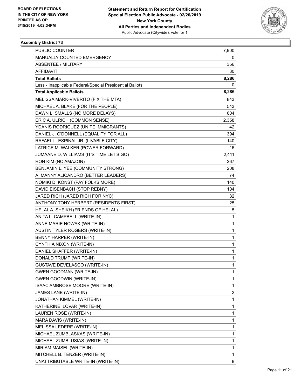

| <b>PUBLIC COUNTER</b>                                    | 7,900        |
|----------------------------------------------------------|--------------|
| MANUALLY COUNTED EMERGENCY                               | 0            |
| <b>ABSENTEE / MILITARY</b>                               | 356          |
| AFFIDAVIT                                                | 30           |
| <b>Total Ballots</b>                                     | 8,286        |
| Less - Inapplicable Federal/Special Presidential Ballots | 0            |
| <b>Total Applicable Ballots</b>                          | 8,286        |
| MELISSA MARK-VIVERITO (FIX THE MTA)                      | 843          |
| MICHAEL A. BLAKE (FOR THE PEOPLE)                        | 543          |
| DAWN L. SMALLS (NO MORE DELAYS)                          | 604          |
| ERIC A. ULRICH (COMMON SENSE)                            | 2,358        |
| YDANIS RODRIGUEZ (UNITE IMMIGRANTS)                      | 42           |
| DANIEL J. O'DONNELL (EQUALITY FOR ALL)                   | 394          |
| RAFAEL L. ESPINAL JR. (LIVABLE CITY)                     | 140          |
| LATRICE M. WALKER (POWER FORWARD)                        | 16           |
| JUMAANE D. WILLIAMS (IT'S TIME LET'S GO)                 | 2,411        |
| RON KIM (NO AMAZON)                                      | 267          |
| BENJAMIN L. YEE (COMMUNITY STRONG)                       | 208          |
| A. MANNY ALICANDRO (BETTER LEADERS)                      | 74           |
| NOMIKI D. KONST (PAY FOLKS MORE)                         | 140          |
| DAVID EISENBACH (STOP REBNY)                             | 104          |
| JARED RICH (JARED RICH FOR NYC)                          | 32           |
| ANTHONY TONY HERBERT (RESIDENTS FIRST)                   | 25           |
| HELAL A. SHEIKH (FRIENDS OF HELAL)                       | 5            |
| ANITA L. CAMPBELL (WRITE-IN)                             | $\mathbf{1}$ |
| ANNE MARIE NOWAK (WRITE-IN)                              | $\mathbf{1}$ |
| AUSTIN TYLER ROGERS (WRITE-IN)                           | $\mathbf{1}$ |
| BENNY HARPER (WRITE-IN)                                  | $\mathbf{1}$ |
| CYNTHIA NIXON (WRITE-IN)                                 | $\mathbf{1}$ |
| DANIEL SHAFFER (WRITE-IN)                                | 1            |
| DONALD TRUMP (WRITE-IN)                                  | 1            |
| <b>GUSTAVE DEVELASCO (WRITE-IN)</b>                      | 1            |
| <b>GWEN GOODMAN (WRITE-IN)</b>                           | 1            |
| <b>GWEN GOODWIN (WRITE-IN)</b>                           | 1            |
| ISAAC AMBROSE MOORE (WRITE-IN)                           | $\mathbf{1}$ |
| JAMES LANE (WRITE-IN)                                    | 2            |
| JONATHAN KIMMEL (WRITE-IN)                               | $\mathbf{1}$ |
| KATHERINE ILOVAR (WRITE-IN)                              | $\mathbf{1}$ |
| LAUREN ROSE (WRITE-IN)                                   | 1            |
| MARA DAVIS (WRITE-IN)                                    | 1            |
| MELISSA LEDERE (WRITE-IN)                                | $\mathbf{1}$ |
| MICHAEL ZUMBLASKAS (WRITE-IN)                            | 1            |
| MICHAEL ZUMBLUSIAS (WRITE-IN)                            | $\mathbf{1}$ |
| MIRIAM MAISEL (WRITE-IN)                                 | $\mathbf{1}$ |
| MITCHELL B. TENZER (WRITE-IN)                            | 1            |
| UNATTRIBUTABLE WRITE-IN (WRITE-IN)                       | 8            |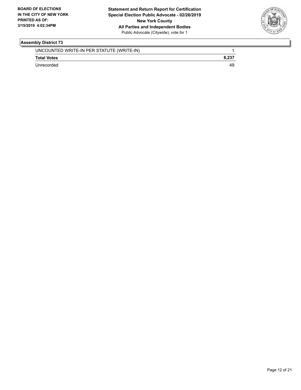

| UNCOUNTED WRITE-IN PER STATUTE (WRITE-IN) |    |
|-------------------------------------------|----|
| <b>Total Votes</b>                        |    |
| Unrecorded                                | 49 |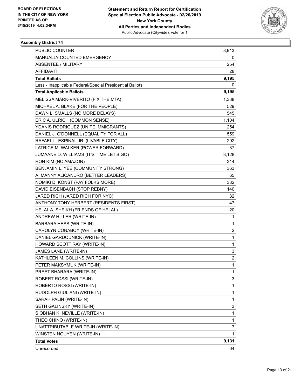

| <b>PUBLIC COUNTER</b>                                    | 8,913                   |
|----------------------------------------------------------|-------------------------|
| MANUALLY COUNTED EMERGENCY                               | 0                       |
| <b>ABSENTEE / MILITARY</b>                               | 254                     |
| AFFIDAVIT                                                | 28                      |
| <b>Total Ballots</b>                                     | 9,195                   |
| Less - Inapplicable Federal/Special Presidential Ballots | 0                       |
| <b>Total Applicable Ballots</b>                          | 9,195                   |
| MELISSA MARK-VIVERITO (FIX THE MTA)                      | 1,338                   |
| MICHAEL A. BLAKE (FOR THE PEOPLE)                        | 529                     |
| DAWN L. SMALLS (NO MORE DELAYS)                          | 545                     |
| ERIC A. ULRICH (COMMON SENSE)                            | 1,104                   |
| YDANIS RODRIGUEZ (UNITE IMMIGRANTS)                      | 254                     |
| DANIEL J. O'DONNELL (EQUALITY FOR ALL)                   | 559                     |
| RAFAEL L. ESPINAL JR. (LIVABLE CITY)                     | 292                     |
| LATRICE M. WALKER (POWER FORWARD)                        | 37                      |
| JUMAANE D. WILLIAMS (IT'S TIME LET'S GO)                 | 3,128                   |
| RON KIM (NO AMAZON)                                      | 314                     |
| BENJAMIN L. YEE (COMMUNITY STRONG)                       | 363                     |
| A. MANNY ALICANDRO (BETTER LEADERS)                      | 65                      |
| NOMIKI D. KONST (PAY FOLKS MORE)                         | 332                     |
| DAVID EISENBACH (STOP REBNY)                             | 140                     |
| JARED RICH (JARED RICH FOR NYC)                          | 32                      |
| ANTHONY TONY HERBERT (RESIDENTS FIRST)                   | 47                      |
| HELAL A. SHEIKH (FRIENDS OF HELAL)                       | 20                      |
| ANDREW HILLER (WRITE-IN)                                 | 1                       |
| <b>BARBARA HESS (WRITE-IN)</b>                           | 1                       |
| CAROLYN CONABOY (WRITE-IN)                               | $\overline{\mathbf{c}}$ |
| DANIEL GARDODNICK (WRITE-IN)                             | 1                       |
| HOWARD SCOTT RAY (WRITE-IN)                              | 1                       |
| JAMES LANE (WRITE-IN)                                    | 3                       |
| KATHLEEN M. COLLINS (WRITE-IN)                           | $\overline{\mathbf{c}}$ |
| PETER MAKSYMUK (WRITE-IN)                                | $\mathbf{1}$            |
| PREET BHARARA (WRITE-IN)                                 | 1                       |
| ROBERT ROSSI (WRITE-IN)                                  | 3                       |
| ROBERTO ROSSI (WRITE-IN)                                 | 1                       |
| RUDOLPH GIULIANI (WRITE-IN)                              | 1                       |
| SARAH PALIN (WRITE-IN)                                   | 1                       |
| SETH GALINSKY (WRITE-IN)                                 | 3                       |
| SIOBHAN K. NEVILLE (WRITE-IN)                            | 1                       |
| THEO CHINO (WRITE-IN)                                    | 1                       |
| UNATTRIBUTABLE WRITE-IN (WRITE-IN)                       | 7                       |
| WINSTEN NGUYEN (WRITE-IN)                                | 1                       |
| <b>Total Votes</b>                                       | 9,131                   |
| Unrecorded                                               | 64                      |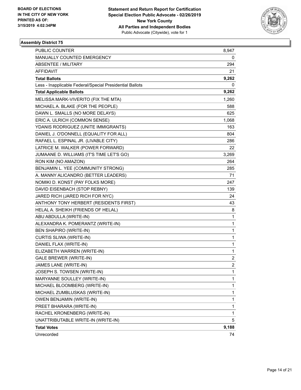

| PUBLIC COUNTER                                           | 8,947          |
|----------------------------------------------------------|----------------|
| MANUALLY COUNTED EMERGENCY                               | 0              |
| <b>ABSENTEE / MILITARY</b>                               | 294            |
| AFFIDAVIT                                                | 21             |
| <b>Total Ballots</b>                                     | 9,262          |
| Less - Inapplicable Federal/Special Presidential Ballots | 0              |
| <b>Total Applicable Ballots</b>                          | 9,262          |
| MELISSA MARK-VIVERITO (FIX THE MTA)                      | 1,260          |
| MICHAEL A. BLAKE (FOR THE PEOPLE)                        | 588            |
| DAWN L. SMALLS (NO MORE DELAYS)                          | 625            |
| ERIC A. ULRICH (COMMON SENSE)                            | 1,068          |
| YDANIS RODRIGUEZ (UNITE IMMIGRANTS)                      | 163            |
| DANIEL J. O'DONNELL (EQUALITY FOR ALL)                   | 804            |
| RAFAEL L. ESPINAL JR. (LIVABLE CITY)                     | 286            |
| LATRICE M. WALKER (POWER FORWARD)                        | 22             |
| JUMAANE D. WILLIAMS (IT'S TIME LET'S GO)                 | 3,269          |
| RON KIM (NO AMAZON)                                      | 264            |
| BENJAMIN L. YEE (COMMUNITY STRONG)                       | 285            |
| A. MANNY ALICANDRO (BETTER LEADERS)                      | 71             |
| NOMIKI D. KONST (PAY FOLKS MORE)                         | 247            |
| DAVID EISENBACH (STOP REBNY)                             | 139            |
| JARED RICH (JARED RICH FOR NYC)                          | 24             |
| ANTHONY TONY HERBERT (RESIDENTS FIRST)                   | 43             |
| HELAL A. SHEIKH (FRIENDS OF HELAL)                       | 8              |
| ABU ABDULLA (WRITE-IN)                                   | 1              |
| ALEXANDRA K. POMERANTZ (WRITE-IN)                        | 1              |
| <b>BEN SHAPIRO (WRITE-IN)</b>                            | 1              |
| CURTIS SLIWA (WRITE-IN)                                  | 1              |
| DANIEL FLAX (WRITE-IN)                                   | 1              |
| ELIZABETH WARREN (WRITE-IN)                              | 1              |
| <b>GALE BREWER (WRITE-IN)</b>                            | 2              |
| JAMES LANE (WRITE-IN)                                    | $\overline{c}$ |
| JOSEPH S. TOWSEN (WRITE-IN)                              | 1              |
| MARYANNE SOULLEY (WRITE-IN)                              | 1              |
| MICHAEL BLOOMBERG (WRITE-IN)                             | 1              |
| MICHAEL ZUMBLUSKAS (WRITE-IN)                            | 1              |
| OWEN BENJAMIN (WRITE-IN)                                 | 1              |
| PREET BHARARA (WRITE-IN)                                 | 1              |
| RACHEL KRONENBERG (WRITE-IN)                             | 1              |
| UNATTRIBUTABLE WRITE-IN (WRITE-IN)                       | 5              |
| <b>Total Votes</b>                                       | 9,188          |
| Unrecorded                                               | 74             |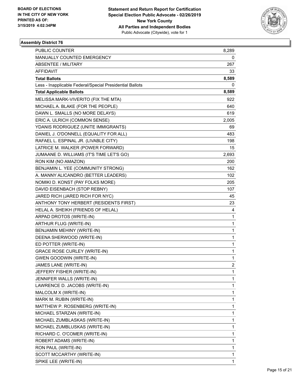

| PUBLIC COUNTER                                           | 8,289          |
|----------------------------------------------------------|----------------|
| MANUALLY COUNTED EMERGENCY                               | 0              |
| <b>ABSENTEE / MILITARY</b>                               | 267            |
| <b>AFFIDAVIT</b>                                         | 33             |
| <b>Total Ballots</b>                                     | 8,589          |
| Less - Inapplicable Federal/Special Presidential Ballots | 0              |
| <b>Total Applicable Ballots</b>                          | 8,589          |
| MELISSA MARK-VIVERITO (FIX THE MTA)                      | 922            |
| MICHAEL A. BLAKE (FOR THE PEOPLE)                        | 640            |
| DAWN L. SMALLS (NO MORE DELAYS)                          | 619            |
| ERIC A. ULRICH (COMMON SENSE)                            | 2,005          |
| YDANIS RODRIGUEZ (UNITE IMMIGRANTS)                      | 69             |
| DANIEL J. O'DONNELL (EQUALITY FOR ALL)                   | 483            |
| RAFAEL L. ESPINAL JR. (LIVABLE CITY)                     | 198            |
| LATRICE M. WALKER (POWER FORWARD)                        | $15\,$         |
| JUMAANE D. WILLIAMS (IT'S TIME LET'S GO)                 | 2,693          |
| RON KIM (NO AMAZON)                                      | 200            |
| BENJAMIN L. YEE (COMMUNITY STRONG)                       | 162            |
| A. MANNY ALICANDRO (BETTER LEADERS)                      | 102            |
| NOMIKI D. KONST (PAY FOLKS MORE)                         | 205            |
| DAVID EISENBACH (STOP REBNY)                             | 107            |
| JARED RICH (JARED RICH FOR NYC)                          | 45             |
| ANTHONY TONY HERBERT (RESIDENTS FIRST)                   | 23             |
| HELAL A. SHEIKH (FRIENDS OF HELAL)                       | 4              |
| ARPAD DROTOS (WRITE-IN)                                  | 1              |
| ARTHUR FLUG (WRITE-IN)                                   | 1              |
| BENJAMIN MEHINY (WRITE-IN)                               | 1              |
| DEENA SHERWOOD (WRITE-IN)                                | 1              |
| ED POTTER (WRITE-IN)                                     | 1              |
| <b>GRACE ROSE CURLEY (WRITE-IN)</b>                      | 1              |
| <b>GWEN GOODWIN (WRITE-IN)</b>                           | 1              |
| JAMES LANE (WRITE-IN)                                    | $\overline{c}$ |
| JEFFERY FISHER (WRITE-IN)                                | 1              |
| JENNIFER WALLS (WRITE-IN)                                | 1              |
| LAWRENCE D. JACOBS (WRITE-IN)                            | 1              |
| MALCOLM X (WRITE-IN)                                     | 1              |
| MARK M. RUBIN (WRITE-IN)                                 | 1              |
| MATTHEW P. ROSENBERG (WRITE-IN)                          | 1              |
| MICHAEL STARZAN (WRITE-IN)                               | 1              |
| MICHAEL ZUMBLASKAS (WRITE-IN)                            | 1              |
| MICHAEL ZUMBLUSKAS (WRITE-IN)                            | 1              |
| RICHARD C. O'COMER (WRITE-IN)                            | 1              |
| ROBERT ADAMS (WRITE-IN)                                  | 1              |
| RON PAUL (WRITE-IN)                                      | 1              |
| SCOTT MCCARTHY (WRITE-IN)                                | 1              |
| SPIKE LEE (WRITE-IN)                                     | 1              |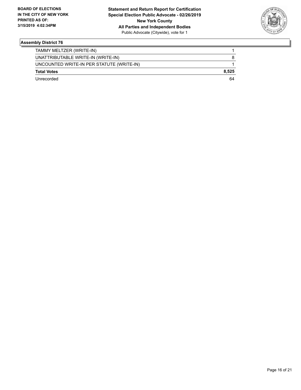

| Unrecorded                                | 64    |
|-------------------------------------------|-------|
| <b>Total Votes</b>                        | 8.525 |
| UNCOUNTED WRITE-IN PER STATUTE (WRITE-IN) |       |
| UNATTRIBUTABLE WRITE-IN (WRITE-IN)        | 8     |
| TAMMY MELTZER (WRITE-IN)                  |       |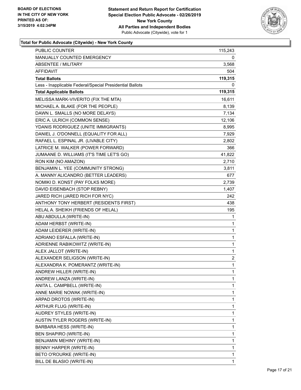

| PUBLIC COUNTER                                           | 115,243        |
|----------------------------------------------------------|----------------|
| MANUALLY COUNTED EMERGENCY                               | 0              |
| <b>ABSENTEE / MILITARY</b>                               | 3,568          |
| AFFIDAVIT                                                | 504            |
| <b>Total Ballots</b>                                     | 119,315        |
| Less - Inapplicable Federal/Special Presidential Ballots | 0              |
| <b>Total Applicable Ballots</b>                          | 119,315        |
| MELISSA MARK-VIVERITO (FIX THE MTA)                      | 16,611         |
| MICHAEL A. BLAKE (FOR THE PEOPLE)                        | 8,139          |
| DAWN L. SMALLS (NO MORE DELAYS)                          | 7,134          |
| ERIC A. ULRICH (COMMON SENSE)                            | 12,106         |
| YDANIS RODRIGUEZ (UNITE IMMIGRANTS)                      | 8,995          |
| DANIEL J. O'DONNELL (EQUALITY FOR ALL)                   | 7,929          |
| RAFAEL L. ESPINAL JR. (LIVABLE CITY)                     | 2,802          |
| LATRICE M. WALKER (POWER FORWARD)                        | 366            |
| JUMAANE D. WILLIAMS (IT'S TIME LET'S GO)                 | 41,822         |
| RON KIM (NO AMAZON)                                      | 2,710          |
| BENJAMIN L. YEE (COMMUNITY STRONG)                       | 3,811          |
| A. MANNY ALICANDRO (BETTER LEADERS)                      | 677            |
| NOMIKI D. KONST (PAY FOLKS MORE)                         | 2,739          |
| DAVID EISENBACH (STOP REBNY)                             | 1,407          |
| JARED RICH (JARED RICH FOR NYC)                          | 242            |
| ANTHONY TONY HERBERT (RESIDENTS FIRST)                   | 438            |
| HELAL A. SHEIKH (FRIENDS OF HELAL)                       | 195            |
| ABU ABDULLA (WRITE-IN)                                   | 1              |
| ADAM HERBST (WRITE-IN)                                   | 1              |
| ADAM LEIDERER (WRITE-IN)                                 | 1              |
| ADRIANO ESFALLA (WRITE-IN)                               | 1              |
| ADRIENNE RABIKOWITZ (WRITE-IN)                           | 1              |
| ALEX JALLOT (WRITE-IN)                                   | 1              |
| ALEXANDER SELIGSON (WRITE-IN)                            | $\overline{c}$ |
| ALEXANDRA K. POMERANTZ (WRITE-IN)                        | 1              |
| ANDREW HILLER (WRITE-IN)                                 | 1              |
| ANDREW LANZA (WRITE-IN)                                  | 1              |
| ANITA L. CAMPBELL (WRITE-IN)                             | 1              |
| ANNE MARIE NOWAK (WRITE-IN)                              | 1              |
| ARPAD DROTOS (WRITE-IN)                                  | 1              |
| ARTHUR FLUG (WRITE-IN)                                   | 1              |
| AUDREY STYLES (WRITE-IN)                                 | 1              |
| AUSTIN TYLER ROGERS (WRITE-IN)                           | 1              |
| BARBARA HESS (WRITE-IN)                                  | 1              |
| BEN SHAPIRO (WRITE-IN)                                   | 1              |
| BENJAMIN MEHINY (WRITE-IN)                               | 1              |
| BENNY HARPER (WRITE-IN)                                  | 1              |
| BETO O'ROURKE (WRITE-IN)                                 | 1              |
| BILL DE BLASIO (WRITE-IN)                                | 1              |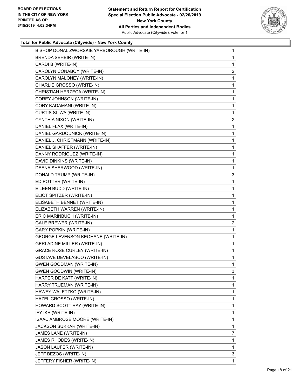

| BISHOP DONAL ZWORSKIE YARBOROUGH (WRITE-IN) | 1              |
|---------------------------------------------|----------------|
| <b>BRENDA SEHEIR (WRITE-IN)</b>             | 1              |
| CARDI B (WRITE-IN)                          | 1              |
| CAROLYN CONABOY (WRITE-IN)                  | $\overline{2}$ |
| CAROLYN MALONEY (WRITE-IN)                  | 1              |
| CHARLIE GROSSO (WRITE-IN)                   | 1              |
| CHRISTIAN HERZECA (WRITE-IN)                | 1              |
| COREY JOHNSON (WRITE-IN)                    | 1              |
| CORY KADAMANI (WRITE-IN)                    | 1              |
| CURTIS SLIWA (WRITE-IN)                     | 1              |
| CYNTHIA NIXON (WRITE-IN)                    | $\overline{a}$ |
| DANIEL FLAX (WRITE-IN)                      | 1              |
| DANIEL GARDODNICK (WRITE-IN)                | 1              |
| DANIEL J. CHRISTMANN (WRITE-IN)             | 1              |
| DANIEL SHAFFER (WRITE-IN)                   | 1              |
| DANNY RODRIGUEZ (WRITE-IN)                  | 1              |
| DAVID DINKINS (WRITE-IN)                    | 1              |
| DEENA SHERWOOD (WRITE-IN)                   | 1              |
| DONALD TRUMP (WRITE-IN)                     | 3              |
| ED POTTER (WRITE-IN)                        | 1              |
| EILEEN BUDD (WRITE-IN)                      | 1              |
| ELIOT SPITZER (WRITE-IN)                    | 1              |
| ELISABETH BENNET (WRITE-IN)                 | 1              |
| ELIZABETH WARREN (WRITE-IN)                 | 1              |
| ERIC MARINBUCH (WRITE-IN)                   | 1              |
| GALE BREWER (WRITE-IN)                      | $\overline{a}$ |
| <b>GARY POPKIN (WRITE-IN)</b>               | 1              |
| GEORGE LEVENSON KEOHANE (WRITE-IN)          | 1              |
| <b>GERLADINE MILLER (WRITE-IN)</b>          | 1              |
| <b>GRACE ROSE CURLEY (WRITE-IN)</b>         | 1              |
| <b>GUSTAVE DEVELASCO (WRITE-IN)</b>         | 1              |
| <b>GWEN GOODMAN (WRITE-IN)</b>              | 1              |
| GWEN GOODWIN (WRITE-IN)                     | 3              |
| HARPER DE KATT (WRITE-IN)                   | 1              |
| HARRY TRUEMAN (WRITE-IN)                    | 1              |
| HAWEY WALETZKO (WRITE-IN)                   | 1              |
| HAZEL GROSSO (WRITE-IN)                     | 1              |
| HOWARD SCOTT RAY (WRITE-IN)                 | 1              |
| IFY IKE (WRITE-IN)                          | 1              |
| ISAAC AMBROSE MOORE (WRITE-IN)              | 1              |
| JACKSON SUKKAR (WRITE-IN)                   | 1              |
| JAMES LANE (WRITE-IN)                       | 17             |
| JAMES RHODES (WRITE-IN)                     | 1              |
| JASON LAUFER (WRITE-IN)                     | 1              |
| JEFF BEZOS (WRITE-IN)                       | 3              |
| JEFFERY FISHER (WRITE-IN)                   | 1              |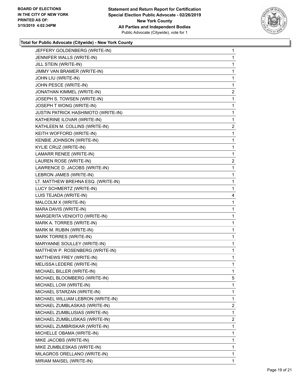

| JEFFERY GOLDENBERG (WRITE-IN)       | $\mathbf{1}$   |
|-------------------------------------|----------------|
| JENNIFER WALLS (WRITE-IN)           | 1              |
| JILL STEIN (WRITE-IN)               | 1              |
| JIMMY VAN BRAMER (WRITE-IN)         | 1              |
| JOHN LIU (WRITE-IN)                 | 1              |
| JOHN PESCE (WRITE-IN)               | 1              |
| JONATHAN KIMMEL (WRITE-IN)          | $\overline{2}$ |
| JOSEPH S. TOWSEN (WRITE-IN)         | 1              |
| JOSEPH T WONG (WRITE-IN)            | 1              |
| JUSTIN PATRICK HASHIMOTO (WRITE-IN) | 1              |
| KATHERINE ILOVAR (WRITE-IN)         | 1              |
| KATHLEEN M. COLLINS (WRITE-IN)      | $\overline{a}$ |
| KEITH WOFFORD (WRITE-IN)            | 1              |
| KENBIE JOHNSON (WRITE-IN)           | 1              |
| KYLIE CRUZ (WRITE-IN)               | 1              |
| LAMARR RENEE (WRITE-IN)             | 1              |
| LAUREN ROSE (WRITE-IN)              | $\overline{2}$ |
| LAWRENCE D. JACOBS (WRITE-IN)       | 1              |
| LEBRON JAMES (WRITE-IN)             | 1              |
| LT. MATTHEW BREHNA ESQ. (WRITE-IN)  | 1              |
| LUCY SCHMERTZ (WRITE-IN)            | 1              |
| LUIS TEJADA (WRITE-IN)              | 4              |
| MALCOLM X (WRITE-IN)                | 1              |
| MARA DAVIS (WRITE-IN)               | 1              |
| MARGERITA VENIOITO (WRITE-IN)       | 1              |
| MARK A. TORRES (WRITE-IN)           | 1              |
| MARK M. RUBIN (WRITE-IN)            | 1              |
| MARK TORRES (WRITE-IN)              | 1              |
| MARYANNE SOULLEY (WRITE-IN)         | 1              |
| MATTHEW P. ROSENBERG (WRITE-IN)     | 1              |
| MATTHEWS FREY (WRITE-IN)            | 1              |
| MELISSA LEDERE (WRITE-IN)           | 1              |
| MICHAEL BILLER (WRITE-IN)           | 1              |
| MICHAEL BLOOMBERG (WRITE-IN)        | 5              |
| MICHAEL LOW (WRITE-IN)              | 1              |
| MICHAEL STARZAN (WRITE-IN)          | 1              |
| MICHAEL WILLIAM LEBRON (WRITE-IN)   | 1              |
| MICHAEL ZUMBLASKAS (WRITE-IN)       | $\overline{2}$ |
| MICHAEL ZUMBLUSIAS (WRITE-IN)       | 1              |
| MICHAEL ZUMBLUSKAS (WRITE-IN)       | 2              |
| MICHAEL ZUMBRISKAR (WRITE-IN)       | 1              |
| MICHELLE OBAMA (WRITE-IN)           | 1              |
| MIKE JACOBS (WRITE-IN)              | 1              |
| MIKE ZUMBLESKAS (WRITE-IN)          | 1              |
| MILAGROS ORELLANO (WRITE-IN)        | 1              |
| MIRIAM MAISEL (WRITE-IN)            | 1              |
|                                     |                |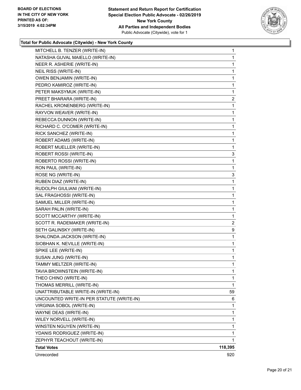

| MITCHELL B. TENZER (WRITE-IN)             | $\mathbf{1}$   |
|-------------------------------------------|----------------|
| NATASHA GUVAL MAIELLO (WRITE-IN)          | 1              |
| NEER R. ASHERIE (WRITE-IN)                | 1              |
| NEIL RISS (WRITE-IN)                      | 1              |
| <b>OWEN BENJAMIN (WRITE-IN)</b>           | 1              |
| PEDRO KAMIROZ (WRITE-IN)                  | 1              |
| PETER MAKSYMUK (WRITE-IN)                 | 1              |
| PREET BHARARA (WRITE-IN)                  | $\overline{2}$ |
| RACHEL KRONENBERG (WRITE-IN)              | 1              |
| RAYVON WEAVER (WRITE-IN)                  | 1              |
| REBECCA DUNNON (WRITE-IN)                 | 1              |
| RICHARD C. O'COMER (WRITE-IN)             | 1              |
| RICK SANCHEZ (WRITE-IN)                   | 1              |
| ROBERT ADAMS (WRITE-IN)                   | 1              |
| ROBERT MUELLER (WRITE-IN)                 | 1              |
| ROBERT ROSSI (WRITE-IN)                   | 3              |
| ROBERTO ROSSI (WRITE-IN)                  | 1              |
| RON PAUL (WRITE-IN)                       | 1              |
| ROSE NG (WRITE-IN)                        | 3              |
| RUBEN DIAZ (WRITE-IN)                     | 1              |
| RUDOLPH GIULIANI (WRITE-IN)               | 1              |
| SAL FRAGHOSSI (WRITE-IN)                  | 1              |
| SAMUEL MILLER (WRITE-IN)                  | 1              |
| SARAH PALIN (WRITE-IN)                    | 1              |
| SCOTT MCCARTHY (WRITE-IN)                 | 1              |
| SCOTT R. RADEMAKER (WRITE-IN)             | 2              |
| SETH GALINSKY (WRITE-IN)                  | 9              |
| SHALONDA JACKSON (WRITE-IN)               | 1              |
| SIOBHAN K. NEVILLE (WRITE-IN)             | 1              |
| SPIKE LEE (WRITE-IN)                      | 1              |
| SUSAN JUNG (WRITE-IN)                     | 1              |
| TAMMY MELTZER (WRITE-IN)                  | 1              |
| TAVIA BROWNSTEIN (WRITE-IN)               | 1              |
| THEO CHINO (WRITE-IN)                     | 1              |
| THOMAS MERRILL (WRITE-IN)                 | 1              |
| UNATTRIBUTABLE WRITE-IN (WRITE-IN)        | 59             |
| UNCOUNTED WRITE-IN PER STATUTE (WRITE-IN) | 6              |
| VIRGINIA SOBOL (WRITE-IN)                 | 1              |
| WAYNE DEAS (WRITE-IN)                     | 1              |
| WILEY NORVELL (WRITE-IN)                  | 1              |
| WINSTEN NGUYEN (WRITE-IN)                 | 1              |
| YDANIS RODRIGUEZ (WRITE-IN)               | 1              |
| ZEPHYR TEACHOUT (WRITE-IN)                | 1              |
| <b>Total Votes</b>                        | 118,395        |
| Unrecorded                                | 920            |